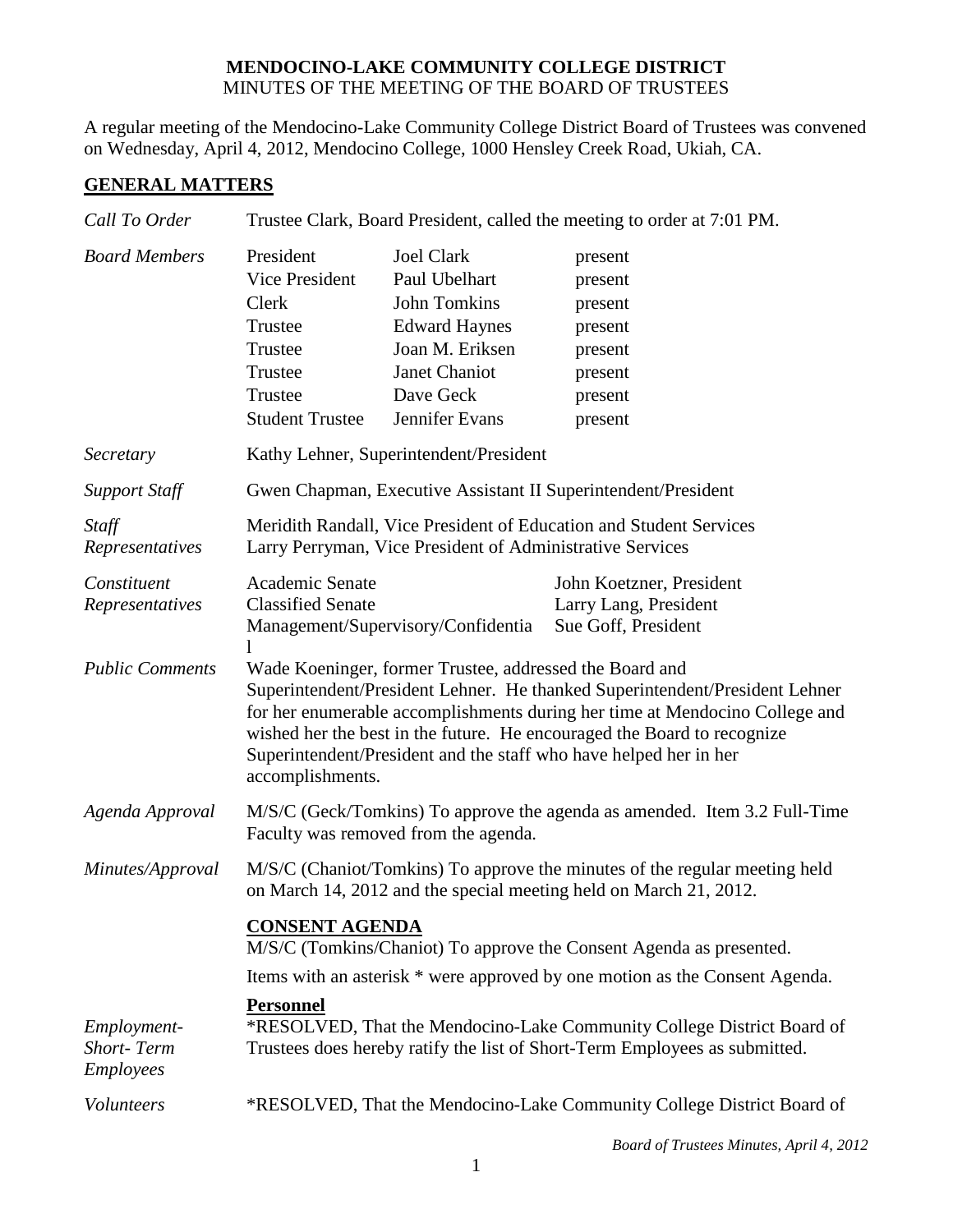## **MENDOCINO-LAKE COMMUNITY COLLEGE DISTRICT** MINUTES OF THE MEETING OF THE BOARD OF TRUSTEES

A regular meeting of the Mendocino-Lake Community College District Board of Trustees was convened on Wednesday, April 4, 2012, Mendocino College, 1000 Hensley Creek Road, Ukiah, CA.

## **GENERAL MATTERS**

| Call To Order                                 | Trustee Clark, Board President, called the meeting to order at 7:01 PM.                                                                                                                                                                                                                                                                                                                   |                                                                                                                                                      |                                                                                      |  |
|-----------------------------------------------|-------------------------------------------------------------------------------------------------------------------------------------------------------------------------------------------------------------------------------------------------------------------------------------------------------------------------------------------------------------------------------------------|------------------------------------------------------------------------------------------------------------------------------------------------------|--------------------------------------------------------------------------------------|--|
| <b>Board Members</b>                          | President<br>Vice President<br>Clerk<br>Trustee<br>Trustee<br>Trustee<br>Trustee<br><b>Student Trustee</b>                                                                                                                                                                                                                                                                                | <b>Joel Clark</b><br>Paul Ubelhart<br><b>John Tomkins</b><br><b>Edward Haynes</b><br>Joan M. Eriksen<br>Janet Chaniot<br>Dave Geck<br>Jennifer Evans | present<br>present<br>present<br>present<br>present<br>present<br>present<br>present |  |
| Secretary                                     | Kathy Lehner, Superintendent/President                                                                                                                                                                                                                                                                                                                                                    |                                                                                                                                                      |                                                                                      |  |
| <b>Support Staff</b>                          | Gwen Chapman, Executive Assistant II Superintendent/President                                                                                                                                                                                                                                                                                                                             |                                                                                                                                                      |                                                                                      |  |
| Staff<br>Representatives                      | Meridith Randall, Vice President of Education and Student Services<br>Larry Perryman, Vice President of Administrative Services                                                                                                                                                                                                                                                           |                                                                                                                                                      |                                                                                      |  |
| Constituent<br>Representatives                | Academic Senate<br><b>Classified Senate</b>                                                                                                                                                                                                                                                                                                                                               | Management/Supervisory/Confidentia                                                                                                                   | John Koetzner, President<br>Larry Lang, President<br>Sue Goff, President             |  |
| <b>Public Comments</b>                        | Wade Koeninger, former Trustee, addressed the Board and<br>Superintendent/President Lehner. He thanked Superintendent/President Lehner<br>for her enumerable accomplishments during her time at Mendocino College and<br>wished her the best in the future. He encouraged the Board to recognize<br>Superintendent/President and the staff who have helped her in her<br>accomplishments. |                                                                                                                                                      |                                                                                      |  |
| Agenda Approval                               | M/S/C (Geck/Tomkins) To approve the agenda as amended. Item 3.2 Full-Time<br>Faculty was removed from the agenda.                                                                                                                                                                                                                                                                         |                                                                                                                                                      |                                                                                      |  |
| Minutes/Approval                              | M/S/C (Chaniot/Tomkins) To approve the minutes of the regular meeting held<br>on March 14, 2012 and the special meeting held on March 21, 2012.                                                                                                                                                                                                                                           |                                                                                                                                                      |                                                                                      |  |
|                                               | <b>CONSENT AGENDA</b><br>M/S/C (Tomkins/Chaniot) To approve the Consent Agenda as presented.                                                                                                                                                                                                                                                                                              |                                                                                                                                                      |                                                                                      |  |
|                                               | Items with an asterisk * were approved by one motion as the Consent Agenda.                                                                                                                                                                                                                                                                                                               |                                                                                                                                                      |                                                                                      |  |
| Employment-<br><b>Short-Term</b><br>Employees | <b>Personnel</b><br>*RESOLVED, That the Mendocino-Lake Community College District Board of<br>Trustees does hereby ratify the list of Short-Term Employees as submitted.                                                                                                                                                                                                                  |                                                                                                                                                      |                                                                                      |  |
| Volunteers                                    | *RESOLVED, That the Mendocino-Lake Community College District Board of                                                                                                                                                                                                                                                                                                                    |                                                                                                                                                      |                                                                                      |  |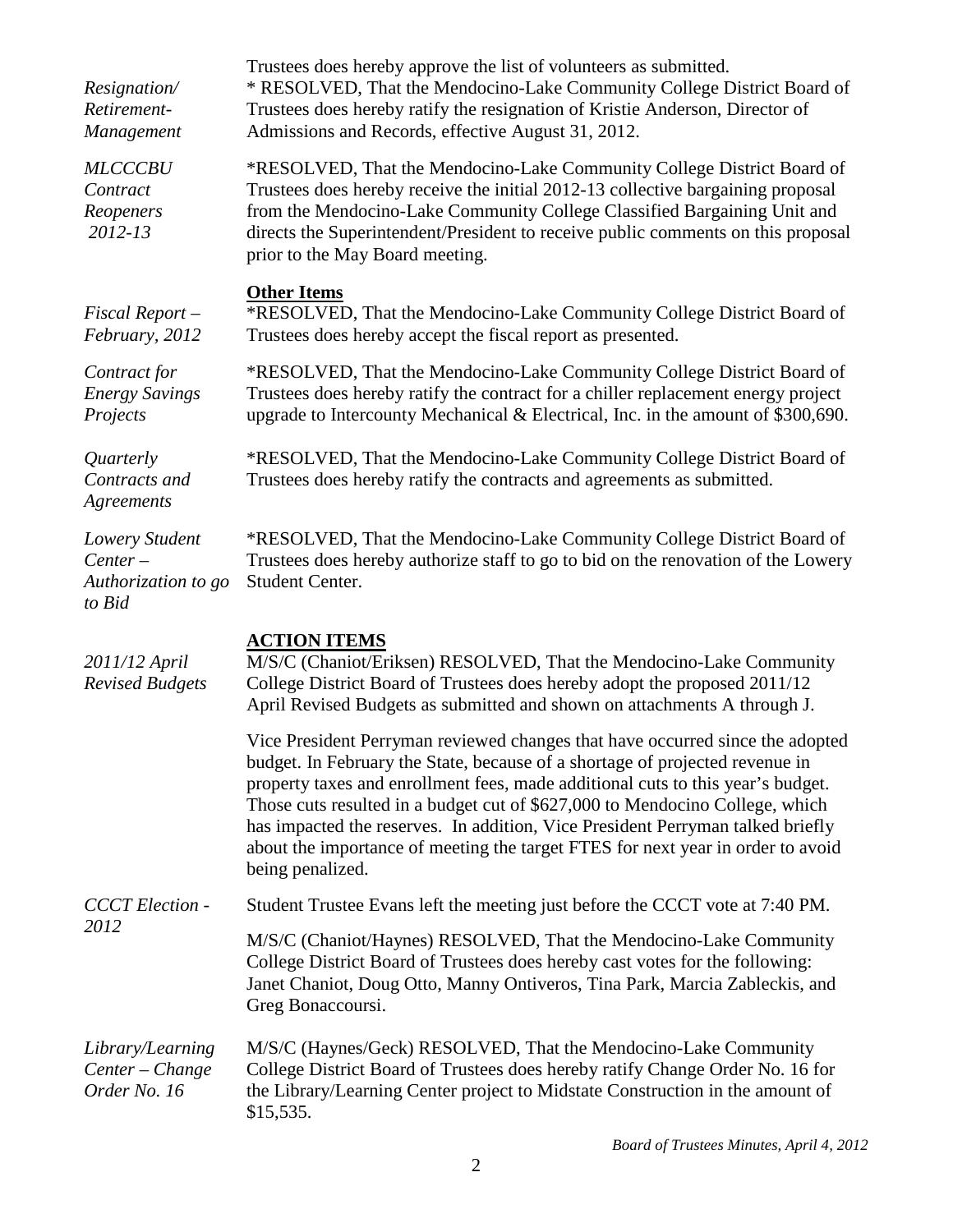| Resignation/<br>Retirement-<br>Management                    | Trustees does hereby approve the list of volunteers as submitted.<br>* RESOLVED, That the Mendocino-Lake Community College District Board of<br>Trustees does hereby ratify the resignation of Kristie Anderson, Director of<br>Admissions and Records, effective August 31, 2012.                                                                                                                                                                                                                                        |  |
|--------------------------------------------------------------|---------------------------------------------------------------------------------------------------------------------------------------------------------------------------------------------------------------------------------------------------------------------------------------------------------------------------------------------------------------------------------------------------------------------------------------------------------------------------------------------------------------------------|--|
| <b>MLCCCBU</b><br>Contract<br>Reopeners<br>2012-13           | *RESOLVED, That the Mendocino-Lake Community College District Board of<br>Trustees does hereby receive the initial 2012-13 collective bargaining proposal<br>from the Mendocino-Lake Community College Classified Bargaining Unit and<br>directs the Superintendent/President to receive public comments on this proposal<br>prior to the May Board meeting.                                                                                                                                                              |  |
| $Fixed$ Report $-$<br>February, 2012                         | <b>Other Items</b><br>*RESOLVED, That the Mendocino-Lake Community College District Board of<br>Trustees does hereby accept the fiscal report as presented.                                                                                                                                                                                                                                                                                                                                                               |  |
| Contract for<br><b>Energy Savings</b><br>Projects            | *RESOLVED, That the Mendocino-Lake Community College District Board of<br>Trustees does hereby ratify the contract for a chiller replacement energy project<br>upgrade to Intercounty Mechanical & Electrical, Inc. in the amount of \$300,690.                                                                                                                                                                                                                                                                           |  |
| Quarterly<br>Contracts and<br>Agreements                     | *RESOLVED, That the Mendocino-Lake Community College District Board of<br>Trustees does hereby ratify the contracts and agreements as submitted.                                                                                                                                                                                                                                                                                                                                                                          |  |
| Lowery Student<br>$Center-$<br>Authorization to go<br>to Bid | *RESOLVED, That the Mendocino-Lake Community College District Board of<br>Trustees does hereby authorize staff to go to bid on the renovation of the Lowery<br>Student Center.                                                                                                                                                                                                                                                                                                                                            |  |
| 2011/12 April<br><b>Revised Budgets</b>                      | <b>ACTION ITEMS</b><br>M/S/C (Chaniot/Eriksen) RESOLVED, That the Mendocino-Lake Community<br>College District Board of Trustees does hereby adopt the proposed 2011/12<br>April Revised Budgets as submitted and shown on attachments A through J.                                                                                                                                                                                                                                                                       |  |
|                                                              | Vice President Perryman reviewed changes that have occurred since the adopted<br>budget. In February the State, because of a shortage of projected revenue in<br>property taxes and enrollment fees, made additional cuts to this year's budget.<br>Those cuts resulted in a budget cut of \$627,000 to Mendocino College, which<br>has impacted the reserves. In addition, Vice President Perryman talked briefly<br>about the importance of meeting the target FTES for next year in order to avoid<br>being penalized. |  |
| <b>CCCT</b> Election -<br>2012                               | Student Trustee Evans left the meeting just before the CCCT vote at 7:40 PM.                                                                                                                                                                                                                                                                                                                                                                                                                                              |  |
|                                                              | M/S/C (Chaniot/Haynes) RESOLVED, That the Mendocino-Lake Community<br>College District Board of Trustees does hereby cast votes for the following:<br>Janet Chaniot, Doug Otto, Manny Ontiveros, Tina Park, Marcia Zableckis, and<br>Greg Bonaccoursi.                                                                                                                                                                                                                                                                    |  |
| Library/Learning<br>Center - Change<br>Order No. 16          | M/S/C (Haynes/Geck) RESOLVED, That the Mendocino-Lake Community<br>College District Board of Trustees does hereby ratify Change Order No. 16 for<br>the Library/Learning Center project to Midstate Construction in the amount of<br>\$15,535.                                                                                                                                                                                                                                                                            |  |